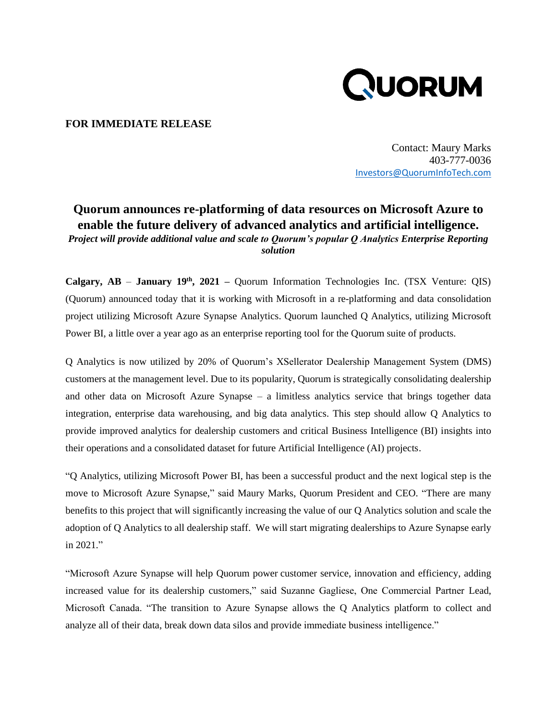

## **FOR IMMEDIATE RELEASE**

Contact: Maury Marks 403-777-0036 [Investors@QuorumInfoTech.com](mailto:Investors@QuorumInfoTech.com)

## **Quorum announces re-platforming of data resources on Microsoft Azure to enable the future delivery of advanced analytics and artificial intelligence.**  *Project will provide additional value and scale to Quorum's popular Q Analytics Enterprise Reporting solution*

**Calgary, AB** – **January 19th , 2021 –** Quorum Information Technologies Inc. (TSX Venture: QIS) (Quorum) announced today that it is working with Microsoft in a re-platforming and data consolidation project utilizing Microsoft Azure Synapse Analytics. Quorum launched Q Analytics, utilizing Microsoft Power BI, a little over a year ago as an enterprise reporting tool for the Quorum suite of products.

Q Analytics is now utilized by 20% of Quorum's XSellerator Dealership Management System (DMS) customers at the management level. Due to its popularity, Quorum is strategically consolidating dealership and other data on Microsoft Azure Synapse – a limitless analytics service that brings together data integration, enterprise data warehousing, and big data analytics. This step should allow Q Analytics to provide improved analytics for dealership customers and critical Business Intelligence (BI) insights into their operations and a consolidated dataset for future Artificial Intelligence (AI) projects.

"Q Analytics, utilizing Microsoft Power BI, has been a successful product and the next logical step is the move to Microsoft Azure Synapse," said Maury Marks, Quorum President and CEO. "There are many benefits to this project that will significantly increasing the value of our Q Analytics solution and scale the adoption of Q Analytics to all dealership staff. We will start migrating dealerships to Azure Synapse early in 2021."

"Microsoft Azure Synapse will help Quorum power customer service, innovation and efficiency, adding increased value for its dealership customers," said Suzanne Gagliese, One Commercial Partner Lead, Microsoft Canada. "The transition to Azure Synapse allows the Q Analytics platform to collect and analyze all of their data, break down data silos and provide immediate business intelligence."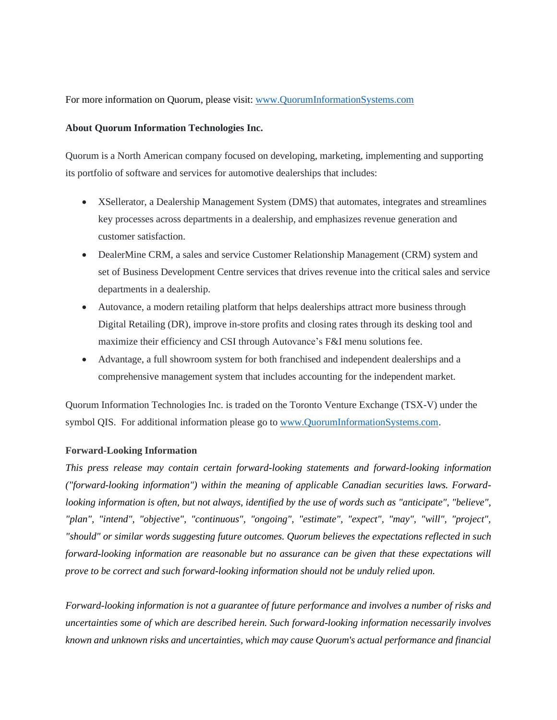For more information on Quorum, please visit: [www.QuorumInformationSystems.com](http://www.quoruminformationsystems.com/)

## **About Quorum Information Technologies Inc.**

Quorum is a North American company focused on developing, marketing, implementing and supporting its portfolio of software and services for automotive dealerships that includes:

- XSellerator, a Dealership Management System (DMS) that automates, integrates and streamlines key processes across departments in a dealership, and emphasizes revenue generation and customer satisfaction.
- DealerMine CRM, a sales and service Customer Relationship Management (CRM) system and set of Business Development Centre services that drives revenue into the critical sales and service departments in a dealership.
- Autovance, a modern retailing platform that helps dealerships attract more business through Digital Retailing (DR), improve in-store profits and closing rates through its desking tool and maximize their efficiency and CSI through Autovance's F&I menu solutions fee.
- Advantage, a full showroom system for both franchised and independent dealerships and a comprehensive management system that includes accounting for the independent market.

Quorum Information Technologies Inc. is traded on the Toronto Venture Exchange (TSX-V) under the symbol QIS. For additional information please go to www.QuorumInformationSystems.com.

## **Forward-Looking Information**

*This press release may contain certain forward-looking statements and forward-looking information ("forward-looking information") within the meaning of applicable Canadian securities laws. Forwardlooking information is often, but not always, identified by the use of words such as "anticipate", "believe", "plan", "intend", "objective", "continuous", "ongoing", "estimate", "expect", "may", "will", "project", "should" or similar words suggesting future outcomes. Quorum believes the expectations reflected in such forward-looking information are reasonable but no assurance can be given that these expectations will prove to be correct and such forward-looking information should not be unduly relied upon.*

*Forward-looking information is not a guarantee of future performance and involves a number of risks and uncertainties some of which are described herein. Such forward-looking information necessarily involves known and unknown risks and uncertainties, which may cause Quorum's actual performance and financial*